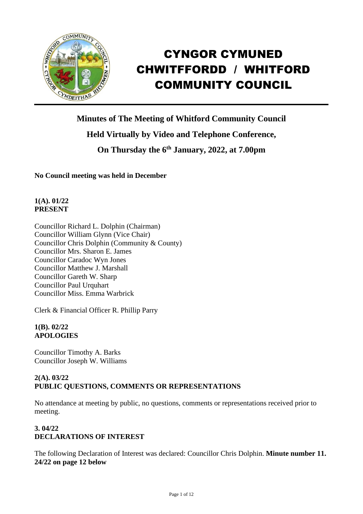

# CYNGOR CYMUNED CHWITFFORDD / WHITFORD COMMUNITY COUNCIL

**Minutes of The Meeting of Whitford Community Council Held Virtually by Video and Telephone Conference, On Thursday the 6 th January, 2022, at 7.00pm** 

**No Council meeting was held in December**

## **1(A). 01/22 PRESENT**

Councillor Richard L. Dolphin (Chairman) Councillor William Glynn (Vice Chair) Councillor Chris Dolphin (Community & County) Councillor Mrs. Sharon E. James Councillor Caradoc Wyn Jones Councillor Matthew J. Marshall Councillor Gareth W. Sharp Councillor Paul Urquhart Councillor Miss. Emma Warbrick

Clerk & Financial Officer R. Phillip Parry

## **1(B). 02/22 APOLOGIES**

Councillor Timothy A. Barks Councillor Joseph W. Williams

## **2(A). 03/22 PUBLIC QUESTIONS, COMMENTS OR REPRESENTATIONS**

No attendance at meeting by public, no questions, comments or representations received prior to meeting.

# **3. 04/22 DECLARATIONS OF INTEREST**

The following Declaration of Interest was declared: Councillor Chris Dolphin. **Minute number 11. 24/22 on page 12 below**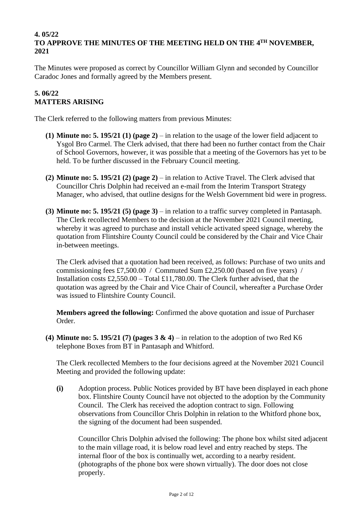#### **4. 05/22 TO APPROVE THE MINUTES OF THE MEETING HELD ON THE 4 TH NOVEMBER, 2021**

The Minutes were proposed as correct by Councillor William Glynn and seconded by Councillor Caradoc Jones and formally agreed by the Members present.

## **5. 06/22 MATTERS ARISING**

The Clerk referred to the following matters from previous Minutes:

- **(1) Minute no: 5. 195/21 (1) (page 2)** in relation to the usage of the lower field adjacent to Ysgol Bro Carmel. The Clerk advised, that there had been no further contact from the Chair of School Governors, however, it was possible that a meeting of the Governors has yet to be held. To be further discussed in the February Council meeting.
- **(2) Minute no: 5. 195/21 (2) (page 2)** in relation to Active Travel. The Clerk advised that Councillor Chris Dolphin had received an e-mail from the Interim Transport Strategy Manager, who advised, that outline designs for the Welsh Government bid were in progress.
- **(3) Minute no: 5. 195/21 (5) (page 3)** in relation to a traffic survey completed in Pantasaph. The Clerk recollected Members to the decision at the November 2021 Council meeting, whereby it was agreed to purchase and install vehicle activated speed signage, whereby the quotation from Flintshire County Council could be considered by the Chair and Vice Chair in-between meetings.

The Clerk advised that a quotation had been received, as follows: Purchase of two units and commissioning fees £7,500.00 / Commuted Sum £2,250.00 (based on five years) / Installation costs  $\text{\pounds}2.550.00 - \text{Total } \text{\pounds}11.780.00$ . The Clerk further advised, that the quotation was agreed by the Chair and Vice Chair of Council, whereafter a Purchase Order was issued to Flintshire County Council.

**Members agreed the following:** Confirmed the above quotation and issue of Purchaser Order.

**(4) Minute no: 5. 195/21 (7) (pages 3 & 4)** – in relation to the adoption of two Red K6 telephone Boxes from BT in Pantasaph and Whitford.

The Clerk recollected Members to the four decisions agreed at the November 2021 Council Meeting and provided the following update:

**(i)** Adoption process. Public Notices provided by BT have been displayed in each phone box. Flintshire County Council have not objected to the adoption by the Community Council. The Clerk has received the adoption contract to sign. Following observations from Councillor Chris Dolphin in relation to the Whitford phone box, the signing of the document had been suspended.

Councillor Chris Dolphin advised the following: The phone box whilst sited adjacent to the main village road, it is below road level and entry reached by steps. The internal floor of the box is continually wet, according to a nearby resident. (photographs of the phone box were shown virtually). The door does not close properly.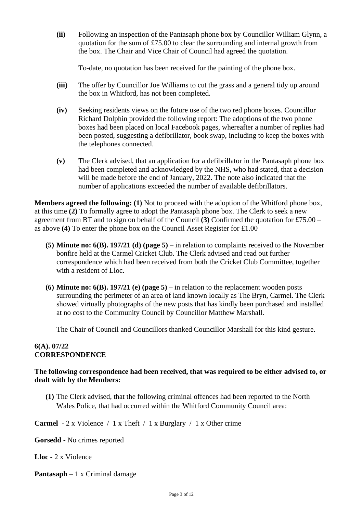**(ii)** Following an inspection of the Pantasaph phone box by Councillor William Glynn, a quotation for the sum of  $£75.00$  to clear the surrounding and internal growth from the box. The Chair and Vice Chair of Council had agreed the quotation.

To-date, no quotation has been received for the painting of the phone box.

- **(iii)** The offer by Councillor Joe Williams to cut the grass and a general tidy up around the box in Whitford, has not been completed.
- **(iv)** Seeking residents views on the future use of the two red phone boxes. Councillor Richard Dolphin provided the following report: The adoptions of the two phone boxes had been placed on local Facebook pages, whereafter a number of replies had been posted, suggesting a defibrillator, book swap, including to keep the boxes with the telephones connected.
- **(v)** The Clerk advised, that an application for a defibrillator in the Pantasaph phone box had been completed and acknowledged by the NHS, who had stated, that a decision will be made before the end of January, 2022. The note also indicated that the number of applications exceeded the number of available defibrillators.

**Members agreed the following: (1)** Not to proceed with the adoption of the Whitford phone box, at this time **(2)** To formally agree to adopt the Pantasaph phone box. The Clerk to seek a new agreement from BT and to sign on behalf of the Council **(3)** Confirmed the quotation for £75.00 – as above **(4)** To enter the phone box on the Council Asset Register for £1.00

- **(5) Minute no: 6(B). 197/21 (d) (page 5)** in relation to complaints received to the November bonfire held at the Carmel Cricket Club. The Clerk advised and read out further correspondence which had been received from both the Cricket Club Committee, together with a resident of Lloc.
- **(6) Minute no: 6(B). 197/21 (e) (page 5)** in relation to the replacement wooden posts surrounding the perimeter of an area of land known locally as The Bryn, Carmel. The Clerk showed virtually photographs of the new posts that has kindly been purchased and installed at no cost to the Community Council by Councillor Matthew Marshall.

The Chair of Council and Councillors thanked Councillor Marshall for this kind gesture.

#### **6(A). 07/22 CORRESPONDENCE**

#### **The following correspondence had been received, that was required to be either advised to, or dealt with by the Members:**

**(1)** The Clerk advised, that the following criminal offences had been reported to the North Wales Police, that had occurred within the Whitford Community Council area:

**Carmel -** 2 x Violence / 1 x Theft / 1 x Burglary / 1 x Other crime

**Gorsedd -** No crimes reported

**Lloc -** 2 x Violence

**Pantasaph –** 1 x Criminal damage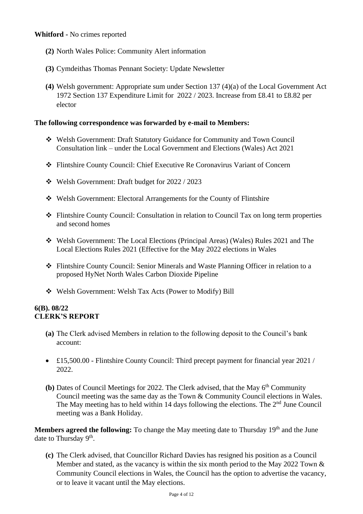- **(2)** North Wales Police: Community Alert information
- **(3)** Cymdeithas Thomas Pennant Society: Update Newsletter
- **(4)** Welsh government: Appropriate sum under Section 137 (4)(a) of the Local Government Act 1972 Section 137 Expenditure Limit for 2022 / 2023. Increase from £8.41 to £8.82 per elector

## **The following correspondence was forwarded by e-mail to Members:**

- ❖ Welsh Government: Draft Statutory Guidance for Community and Town Council Consultation link – under the Local Government and Elections (Wales) Act 2021
- ❖ Flintshire County Council: Chief Executive Re Coronavirus Variant of Concern
- ❖ Welsh Government: Draft budget for 2022 / 2023
- ❖ Welsh Government: Electoral Arrangements for the County of Flintshire
- ❖ Flintshire County Council: Consultation in relation to Council Tax on long term properties and second homes
- ❖ Welsh Government: The Local Elections (Principal Areas) (Wales) Rules 2021 and The Local Elections Rules 2021 (Effective for the May 2022 elections in Wales
- ❖ Flintshire County Council: Senior Minerals and Waste Planning Officer in relation to a proposed HyNet North Wales Carbon Dioxide Pipeline
- ❖ Welsh Government: Welsh Tax Acts (Power to Modify) Bill

## **6(B). 08/22 CLERK'S REPORT**

- **(a)** The Clerk advised Members in relation to the following deposit to the Council's bank account:
- £15,500.00 Flintshire County Council: Third precept payment for financial year 2021 / 2022.
- **(b)** Dates of Council Meetings for 2022. The Clerk advised, that the May 6<sup>th</sup> Community Council meeting was the same day as the Town & Community Council elections in Wales. The May meeting has to held within 14 days following the elections. The  $2<sup>nd</sup>$  June Council meeting was a Bank Holiday.

Members agreed the following: To change the May meeting date to Thursday 19<sup>th</sup> and the June date to Thursday 9<sup>th</sup>.

**(c)** The Clerk advised, that Councillor Richard Davies has resigned his position as a Council Member and stated, as the vacancy is within the six month period to the May 2022 Town  $\&$ Community Council elections in Wales, the Council has the option to advertise the vacancy, or to leave it vacant until the May elections.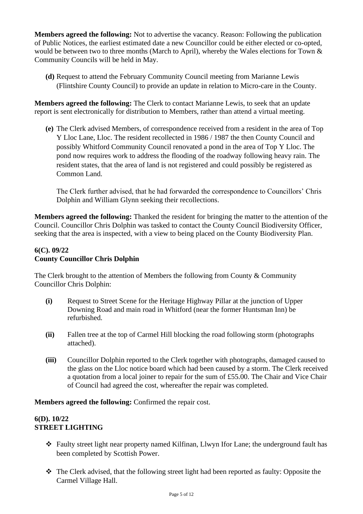**Members agreed the following:** Not to advertise the vacancy. Reason: Following the publication of Public Notices, the earliest estimated date a new Councillor could be either elected or co-opted, would be between two to three months (March to April), whereby the Wales elections for Town & Community Councils will be held in May.

**(d)** Request to attend the February Community Council meeting from Marianne Lewis (Flintshire County Council) to provide an update in relation to Micro-care in the County.

**Members agreed the following:** The Clerk to contact Marianne Lewis, to seek that an update report is sent electronically for distribution to Members, rather than attend a virtual meeting.

**(e)** The Clerk advised Members, of correspondence received from a resident in the area of Top Y Lloc Lane, Lloc. The resident recollected in 1986 / 1987 the then County Council and possibly Whitford Community Council renovated a pond in the area of Top Y Lloc. The pond now requires work to address the flooding of the roadway following heavy rain. The resident states, that the area of land is not registered and could possibly be registered as Common Land.

The Clerk further advised, that he had forwarded the correspondence to Councillors' Chris Dolphin and William Glynn seeking their recollections.

**Members agreed the following:** Thanked the resident for bringing the matter to the attention of the Council. Councillor Chris Dolphin was tasked to contact the County Council Biodiversity Officer, seeking that the area is inspected, with a view to being placed on the County Biodiversity Plan.

# **6(C). 09/22 County Councillor Chris Dolphin**

The Clerk brought to the attention of Members the following from County & Community Councillor Chris Dolphin:

- **(i)** Request to Street Scene for the Heritage Highway Pillar at the junction of Upper Downing Road and main road in Whitford (near the former Huntsman Inn) be refurbished.
- **(ii)** Fallen tree at the top of Carmel Hill blocking the road following storm (photographs attached).
- **(iii)** Councillor Dolphin reported to the Clerk together with photographs, damaged caused to the glass on the Lloc notice board which had been caused by a storm. The Clerk received a quotation from a local joiner to repair for the sum of £55.00. The Chair and Vice Chair of Council had agreed the cost, whereafter the repair was completed.

**Members agreed the following:** Confirmed the repair cost.

## **6(D). 10/22 STREET LIGHTING**

- ❖ Faulty street light near property named Kilfinan, Llwyn Ifor Lane; the underground fault has been completed by Scottish Power.
- ❖ The Clerk advised, that the following street light had been reported as faulty: Opposite the Carmel Village Hall.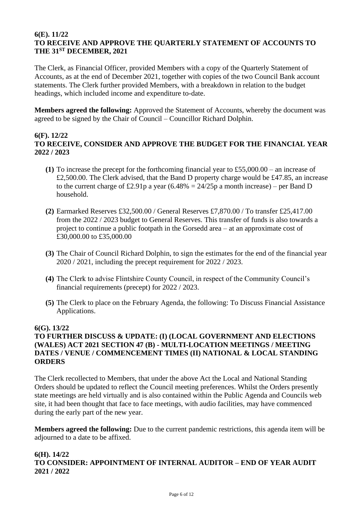#### **6(E). 11/22 TO RECEIVE AND APPROVE THE QUARTERLY STATEMENT OF ACCOUNTS TO THE 31ST DECEMBER, 2021**

The Clerk, as Financial Officer, provided Members with a copy of the Quarterly Statement of Accounts, as at the end of December 2021, together with copies of the two Council Bank account statements. The Clerk further provided Members, with a breakdown in relation to the budget headings, which included income and expenditure to-date.

**Members agreed the following:** Approved the Statement of Accounts, whereby the document was agreed to be signed by the Chair of Council – Councillor Richard Dolphin.

## **6(F). 12/22 TO RECEIVE, CONSIDER AND APPROVE THE BUDGET FOR THE FINANCIAL YEAR 2022 / 2023**

- **(1)** To increase the precept for the forthcoming financial year to £55,000.00 an increase of £2,500.00. The Clerk advised, that the Band D property charge would be £47.85, an increase to the current charge of £2.91p a year  $(6.48\% = 24/25p$  a month increase) – per Band D household.
- **(2)** Earmarked Reserves £32,500.00 / General Reserves £7,870.00 / To transfer £25,417.00 from the 2022 / 2023 budget to General Reserves. This transfer of funds is also towards a project to continue a public footpath in the Gorsedd area – at an approximate cost of £30,000.00 to £35,000.00
- **(3)** The Chair of Council Richard Dolphin, to sign the estimates for the end of the financial year 2020 / 2021, including the precept requirement for 2022 / 2023.
- **(4)** The Clerk to advise Flintshire County Council, in respect of the Community Council's financial requirements (precept) for 2022 / 2023.
- **(5)** The Clerk to place on the February Agenda, the following: To Discuss Financial Assistance Applications.

## **6(G). 13/22**

## **TO FURTHER DISCUSS & UPDATE: (I) (LOCAL GOVERNMENT AND ELECTIONS (WALES) ACT 2021 SECTION 47 (B) - MULTI-LOCATION MEETINGS / MEETING DATES / VENUE / COMMENCEMENT TIMES (II) NATIONAL & LOCAL STANDING ORDERS**

The Clerk recollected to Members, that under the above Act the Local and National Standing Orders should be updated to reflect the Council meeting preferences. Whilst the Orders presently state meetings are held virtually and is also contained within the Public Agenda and Councils web site, it had been thought that face to face meetings, with audio facilities, may have commenced during the early part of the new year.

**Members agreed the following:** Due to the current pandemic restrictions, this agenda item will be adjourned to a date to be affixed.

## **6(H). 14/22 TO CONSIDER: APPOINTMENT OF INTERNAL AUDITOR – END OF YEAR AUDIT 2021 / 2022**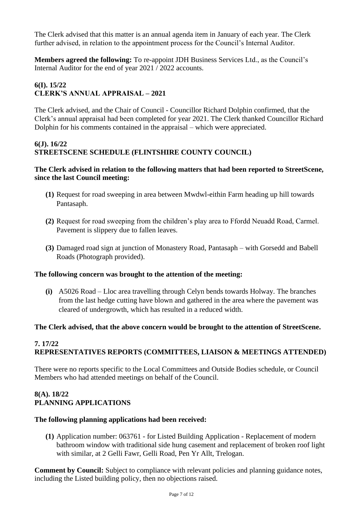The Clerk advised that this matter is an annual agenda item in January of each year. The Clerk further advised, in relation to the appointment process for the Council's Internal Auditor.

**Members agreed the following:** To re-appoint JDH Business Services Ltd., as the Council's Internal Auditor for the end of year 2021 / 2022 accounts.

# **6(I). 15/22 CLERK'S ANNUAL APPRAISAL – 2021**

The Clerk advised, and the Chair of Council - Councillor Richard Dolphin confirmed, that the Clerk's annual appraisal had been completed for year 2021. The Clerk thanked Councillor Richard Dolphin for his comments contained in the appraisal – which were appreciated.

#### **6(J). 16/22 STREETSCENE SCHEDULE (FLINTSHIRE COUNTY COUNCIL)**

#### **The Clerk advised in relation to the following matters that had been reported to StreetScene, since the last Council meeting:**

- **(1)** Request for road sweeping in area between Mwdwl-eithin Farm heading up hill towards Pantasaph.
- **(2)** Request for road sweeping from the children's play area to Ffordd Neuadd Road, Carmel. Pavement is slippery due to fallen leaves.
- **(3)** Damaged road sign at junction of Monastery Road, Pantasaph with Gorsedd and Babell Roads (Photograph provided).

## **The following concern was brought to the attention of the meeting:**

**(i)** A5026 Road – Lloc area travelling through Celyn bends towards Holway. The branches from the last hedge cutting have blown and gathered in the area where the pavement was cleared of undergrowth, which has resulted in a reduced width.

#### **The Clerk advised, that the above concern would be brought to the attention of StreetScene.**

## **7. 17/22 REPRESENTATIVES REPORTS (COMMITTEES, LIAISON & MEETINGS ATTENDED)**

There were no reports specific to the Local Committees and Outside Bodies schedule, or Council Members who had attended meetings on behalf of the Council.

## **8(A). 18/22 PLANNING APPLICATIONS**

#### **The following planning applications had been received:**

**(1)** Application number: 063761 - for Listed Building Application - Replacement of modern bathroom window with traditional side hung casement and replacement of broken roof light with similar, at 2 Gelli Fawr, Gelli Road, Pen Yr Allt, Trelogan.

**Comment by Council:** Subject to compliance with relevant policies and planning guidance notes, including the Listed building policy, then no objections raised.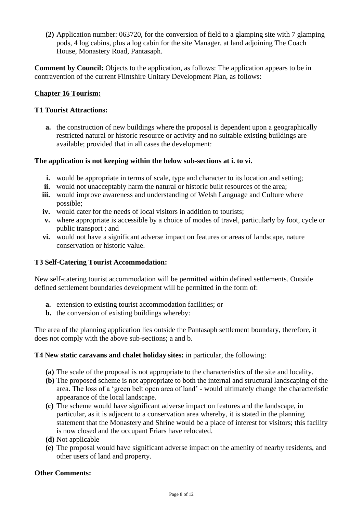**(2)** Application number: 063720, for the conversion of field to a glamping site with 7 glamping pods, 4 log cabins, plus a log cabin for the site Manager, at land adjoining The Coach House, Monastery Road, Pantasaph.

**Comment by Council:** Objects to the application, as follows: The application appears to be in contravention of the current Flintshire Unitary Development Plan, as follows:

#### **Chapter 16 Tourism:**

#### **T1 Tourist Attractions:**

**a.** the construction of new buildings where the proposal is dependent upon a geographically restricted natural or historic resource or activity and no suitable existing buildings are available; provided that in all cases the development:

#### **The application is not keeping within the below sub-sections at i. to vi.**

- **i.** would be appropriate in terms of scale, type and character to its location and setting;
- **ii.** would not unacceptably harm the natural or historic built resources of the area;
- **iii.** would improve awareness and understanding of Welsh Language and Culture where possible;
- **iv.** would cater for the needs of local visitors in addition to tourists;
- **v.** where appropriate is accessible by a choice of modes of travel, particularly by foot, cycle or public transport ; and
- **vi.** would not have a significant adverse impact on features or areas of landscape, nature conservation or historic value.

#### **T3 Self-Catering Tourist Accommodation:**

New self-catering tourist accommodation will be permitted within defined settlements. Outside defined settlement boundaries development will be permitted in the form of:

- **a.** extension to existing tourist accommodation facilities; or
- **b.** the conversion of existing buildings whereby:

The area of the planning application lies outside the Pantasaph settlement boundary, therefore, it does not comply with the above sub-sections; a and b.

#### **T4 New static caravans and chalet holiday sites:** in particular, the following:

- **(a)** The scale of the proposal is not appropriate to the characteristics of the site and locality.
- **(b)** The proposed scheme is not appropriate to both the internal and structural landscaping of the area. The loss of a 'green belt open area of land' - would ultimately change the characteristic appearance of the local landscape.
- **(c)** The scheme would have significant adverse impact on features and the landscape, in particular, as it is adjacent to a conservation area whereby, it is stated in the planning statement that the Monastery and Shrine would be a place of interest for visitors; this facility is now closed and the occupant Friars have relocated.
- **(d)** Not applicable
- **(e)** The proposal would have significant adverse impact on the amenity of nearby residents, and other users of land and property.

#### **Other Comments:**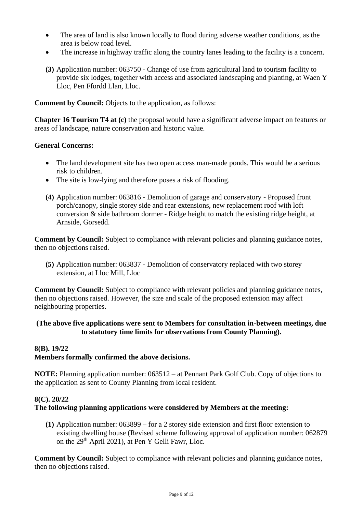- The area of land is also known locally to flood during adverse weather conditions, as the area is below road level.
- The increase in highway traffic along the country lanes leading to the facility is a concern.
- **(3)** Application number: 063750 Change of use from agricultural land to tourism facility to provide six lodges, together with access and associated landscaping and planting, at Waen Y Lloc, Pen Ffordd Llan, Lloc.

**Comment by Council:** Objects to the application, as follows:

**Chapter 16 Tourism T4 at (c)** the proposal would have a significant adverse impact on features or areas of landscape, nature conservation and historic value.

#### **General Concerns:**

- The land development site has two open access man-made ponds. This would be a serious risk to children.
- The site is low-lying and therefore poses a risk of flooding.
- **(4)** Application number: 063816 Demolition of garage and conservatory Proposed front porch/canopy, single storey side and rear extensions, new replacement roof with loft conversion & side bathroom dormer - Ridge height to match the existing ridge height, at Arnside, Gorsedd.

**Comment by Council:** Subject to compliance with relevant policies and planning guidance notes, then no objections raised.

**(5)** Application number: 063837 - Demolition of conservatory replaced with two storey extension, at Lloc Mill, Lloc

**Comment by Council:** Subject to compliance with relevant policies and planning guidance notes, then no objections raised. However, the size and scale of the proposed extension may affect neighbouring properties.

#### **(The above five applications were sent to Members for consultation in-between meetings, due to statutory time limits for observations from County Planning).**

#### **8(B). 19/22**

## **Members formally confirmed the above decisions.**

**NOTE:** Planning application number: 063512 – at Pennant Park Golf Club. Copy of objections to the application as sent to County Planning from local resident.

#### **8(C). 20/22**

#### **The following planning applications were considered by Members at the meeting:**

**(1)** Application number: 063899 – for a 2 storey side extension and first floor extension to existing dwelling house (Revised scheme following approval of application number: 062879 on the 29<sup>th</sup> April 2021), at Pen Y Gelli Fawr, Lloc.

**Comment by Council:** Subject to compliance with relevant policies and planning guidance notes, then no objections raised.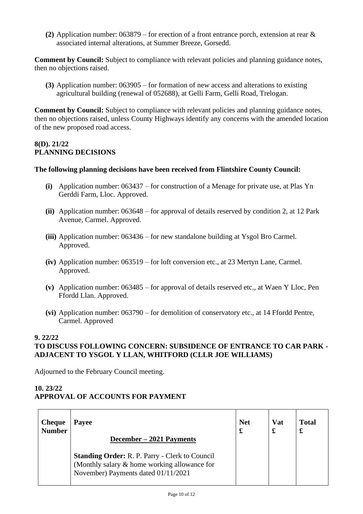**(2)** Application number: 063879 – for erection of a front entrance porch, extension at rear & associated internal alterations, at Summer Breeze, Gorsedd.

**Comment by Council:** Subject to compliance with relevant policies and planning guidance notes, then no objections raised.

**(3)** Application number: 063905 – for formation of new access and alterations to existing agricultural building (renewal of 052688), at Gelli Farm, Gelli Road, Trelogan.

**Comment by Council:** Subject to compliance with relevant policies and planning guidance notes, then no objections raised, unless County Highways identify any concerns with the amended location of the new proposed road access.

## **8(D). 21/22 PLANNING DECISIONS**

#### **The following planning decisions have been received from Flintshire County Council:**

- **(i)** Application number: 063437 for construction of a Menage for private use, at Plas Yn Gerddi Farm, Lloc. Approved.
- **(ii)** Application number: 063648 for approval of details reserved by condition 2, at 12 Park Avenue, Carmel. Approved.
- **(iii)** Application number: 063436 for new standalone building at Ysgol Bro Carmel. Approved.
- **(iv)** Application number: 063519 for loft conversion etc., at 23 Mertyn Lane, Carmel. Approved.
- **(v)** Application number: 063485 for approval of details reserved etc., at Waen Y Lloc, Pen Ffordd Llan. Approved.
- **(vi)** Application number: 063790 for demolition of conservatory etc., at 14 Ffordd Pentre, Carmel. Approved

#### **9. 22/22**

## **TO DISCUSS FOLLOWING CONCERN: SUBSIDENCE OF ENTRANCE TO CAR PARK - ADJACENT TO YSGOL Y LLAN, WHITFORD (CLLR JOE WILLIAMS)**

Adjourned to the February Council meeting.

## **10. 23/22 APPROVAL OF ACCOUNTS FOR PAYMENT**

| <b>Cheque</b> | Payee                                                                                                                                                                    | <b>Net</b> | <b>Vat</b> | <b>Total</b> |
|---------------|--------------------------------------------------------------------------------------------------------------------------------------------------------------------------|------------|------------|--------------|
| <b>Number</b> |                                                                                                                                                                          | £          | £          | £            |
|               | December – 2021 Payments<br><b>Standing Order: R. P. Parry - Clerk to Council</b><br>(Monthly salary & home working allowance for<br>November) Payments dated 01/11/2021 |            |            |              |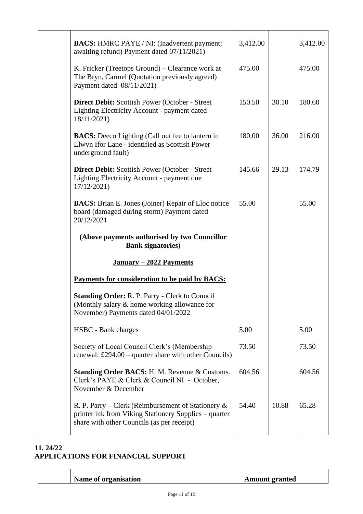| <b>BACS:</b> HMRC PAYE / NI: (Inadvertent payment;<br>awaiting refund) Payment dated 07/11/2021)                                                             | 3,412.00 |       | 3,412.00 |
|--------------------------------------------------------------------------------------------------------------------------------------------------------------|----------|-------|----------|
| K. Fricker (Treetops Ground) – Clearance work at<br>The Bryn, Carmel (Quotation previously agreed)<br>Payment dated 08/11/2021)                              | 475.00   |       | 475.00   |
| Direct Debit: Scottish Power (October - Street<br>Lighting Electricity Account - payment dated<br>18/11/2021)                                                | 150.50   | 30.10 | 180.60   |
| <b>BACS:</b> Deeco Lighting (Call out fee to lantern in<br>Llwyn Ifor Lane - identified as Scottish Power<br>underground fault)                              | 180.00   | 36.00 | 216.00   |
| <b>Direct Debit:</b> Scottish Power (October - Street)<br>Lighting Electricity Account - payment due<br>17/12/2021)                                          | 145.66   | 29.13 | 174.79   |
| <b>BACS:</b> Brian E. Jones (Joiner) Repair of Lloc notice<br>board (damaged during storm) Payment dated<br>20/12/2021                                       | 55.00    |       | 55.00    |
| (Above payments authorised by two Councillor<br><b>Bank signatories</b> )                                                                                    |          |       |          |
| January – 2022 Payments                                                                                                                                      |          |       |          |
| Payments for consideration to be paid by BACS:                                                                                                               |          |       |          |
| <b>Standing Order: R. P. Parry - Clerk to Council</b><br>(Monthly salary & home working allowance for<br>November) Payments dated 04/01/2022                 |          |       |          |
| HSBC - Bank charges                                                                                                                                          | 5.00     |       | 5.00     |
| Society of Local Council Clerk's (Membership<br>renewal: £294.00 – quarter share with other Councils)                                                        | 73.50    |       | 73.50    |
| <b>Standing Order BACS: H. M. Revenue &amp; Customs.</b><br>Clerk's PAYE & Clerk & Council NI - October,<br>November & December                              | 604.56   |       | 604.56   |
| R. P. Parry – Clerk (Reimbursement of Stationery $\&$<br>printer ink from Viking Stationery Supplies – quarter<br>share with other Councils (as per receipt) | 54.40    | 10.88 | 65.28    |

## **11. 24/22 APPLICATIONS FOR FINANCIAL SUPPORT**

| Name of organisation | <b>Amount granted</b> |
|----------------------|-----------------------|